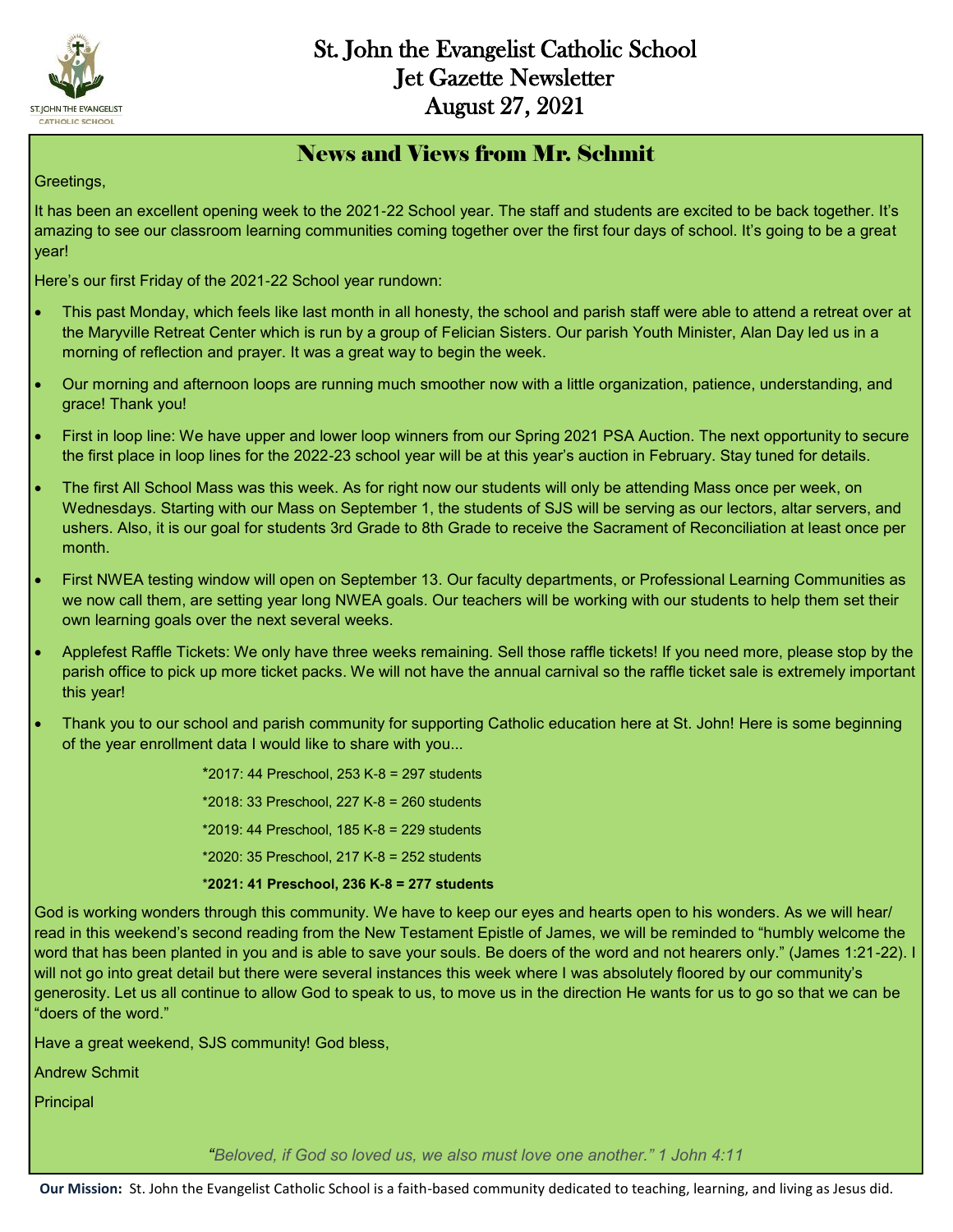

#### News and Views from Mr. Schmit

Greetings,

It has been an excellent opening week to the 2021-22 School year. The staff and students are excited to be back together. It's amazing to see our classroom learning communities coming together over the first four days of school. It's going to be a great year!

Here's our first Friday of the 2021-22 School year rundown:

- This past Monday, which feels like last month in all honesty, the school and parish staff were able to attend a retreat over at the Maryville Retreat Center which is run by a group of Felician Sisters. Our parish Youth Minister, Alan Day led us in a morning of reflection and prayer. It was a great way to begin the week.
- Our morning and afternoon loops are running much smoother now with a little organization, patience, understanding, and grace! Thank you!
- First in loop line: We have upper and lower loop winners from our Spring 2021 PSA Auction. The next opportunity to secure the first place in loop lines for the 2022-23 school year will be at this year's auction in February. Stay tuned for details.
- The first All School Mass was this week. As for right now our students will only be attending Mass once per week, on Wednesdays. Starting with our Mass on September 1, the students of SJS will be serving as our lectors, altar servers, and ushers. Also, it is our goal for students 3rd Grade to 8th Grade to receive the Sacrament of Reconciliation at least once per month.
- First NWEA testing window will open on September 13. Our faculty departments, or Professional Learning Communities as we now call them, are setting year long NWEA goals. Our teachers will be working with our students to help them set their own learning goals over the next several weeks.
- Applefest Raffle Tickets: We only have three weeks remaining. Sell those raffle tickets! If you need more, please stop by the parish office to pick up more ticket packs. We will not have the annual carnival so the raffle ticket sale is extremely important this year!
- Thank you to our school and parish community for supporting Catholic education here at St. John! Here is some beginning of the year enrollment data I would like to share with you...

\*2017: 44 Preschool, 253 K-8 = 297 students \*2018: 33 Preschool, 227 K-8 = 260 students \*2019: 44 Preschool, 185 K-8 = 229 students \*2020: 35 Preschool, 217 K-8 = 252 students \***2021: 41 Preschool, 236 K-8 = 277 students**

God is working wonders through this community. We have to keep our eyes and hearts open to his wonders. As we will hear/ read in this weekend's second reading from the New Testament Epistle of James, we will be reminded to "humbly welcome the word that has been planted in you and is able to save your souls. Be doers of the word and not hearers only." (James 1:21-22). I will not go into great detail but there were several instances this week where I was absolutely floored by our community's generosity. Let us all continue to allow God to speak to us, to move us in the direction He wants for us to go so that we can be "doers of the word."

Have a great weekend, SJS community! God bless,

Andrew Schmit

**Principal** 

*"Beloved, if God so loved us, we also must love one another." 1 John 4:11*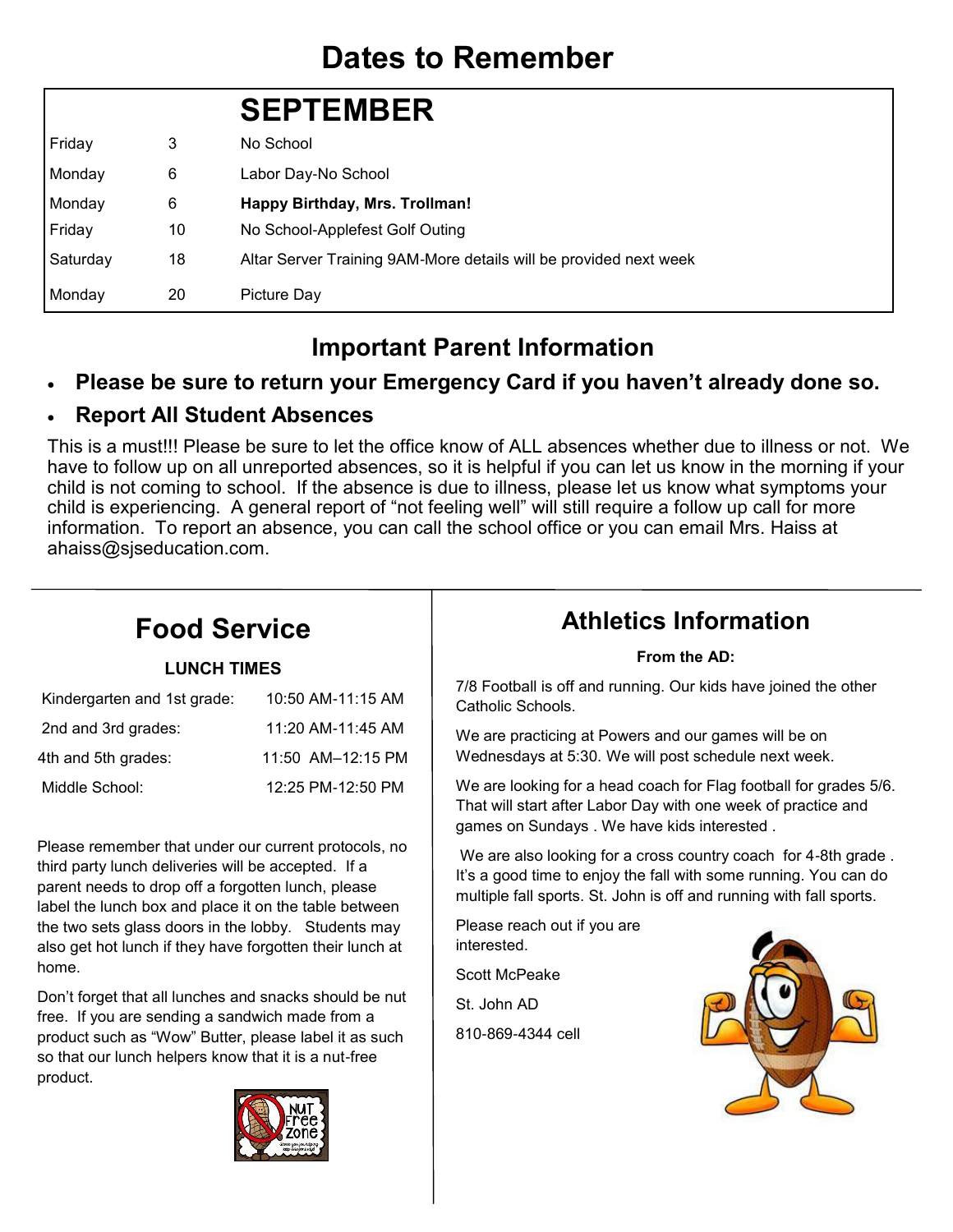# **Dates to Remember**

|          |    | <b>SEPTEMBER</b>                                                  |
|----------|----|-------------------------------------------------------------------|
| Friday   | 3  | No School                                                         |
| Monday   | 6  | Labor Day-No School                                               |
| Monday   | 6  | Happy Birthday, Mrs. Trollman!                                    |
| Friday   | 10 | No School-Applefest Golf Outing                                   |
| Saturday | 18 | Altar Server Training 9AM-More details will be provided next week |
| Monday   | 20 | Picture Day                                                       |

#### **Important Parent Information**

#### **Please be sure to return your Emergency Card if you haven't already done so.**

#### **Report All Student Absences**

This is a must!!! Please be sure to let the office know of ALL absences whether due to illness or not. We have to follow up on all unreported absences, so it is helpful if you can let us know in the morning if your child is not coming to school. If the absence is due to illness, please let us know what symptoms your child is experiencing. A general report of "not feeling well" will still require a follow up call for more information. To report an absence, you can call the school office or you can email Mrs. Haiss at ahaiss@sjseducation.com.

# **Food Service**

#### **LUNCH TIMES**

| Kindergarten and 1st grade: | 10:50 AM-11:15 AM |
|-----------------------------|-------------------|
| 2nd and 3rd grades:         | 11:20 AM-11:45 AM |
| 4th and 5th grades:         | 11:50 AM-12:15 PM |
| Middle School:              | 12:25 PM-12:50 PM |

Please remember that under our current protocols, no third party lunch deliveries will be accepted. If a parent needs to drop off a forgotten lunch, please label the lunch box and place it on the table between the two sets glass doors in the lobby. Students may also get hot lunch if they have forgotten their lunch at home.

Don't forget that all lunches and snacks should be nut free. If you are sending a sandwich made from a product such as "Wow" Butter, please label it as such so that our lunch helpers know that it is a nut-free product.



### **Athletics Information**

#### **From the AD:**

7/8 Football is off and running. Our kids have joined the other Catholic Schools.

We are practicing at Powers and our games will be on Wednesdays at 5:30. We will post schedule next week.

We are looking for a head coach for Flag football for grades 5/6. That will start after Labor Day with one week of practice and games on Sundays . We have kids interested .

We are also looking for a cross country coach for 4-8th grade . It's a good time to enjoy the fall with some running. You can do multiple fall sports. St. John is off and running with fall sports.

Please reach out if you are interested.

Scott McPeake

St. John AD

810-869-4344 cell

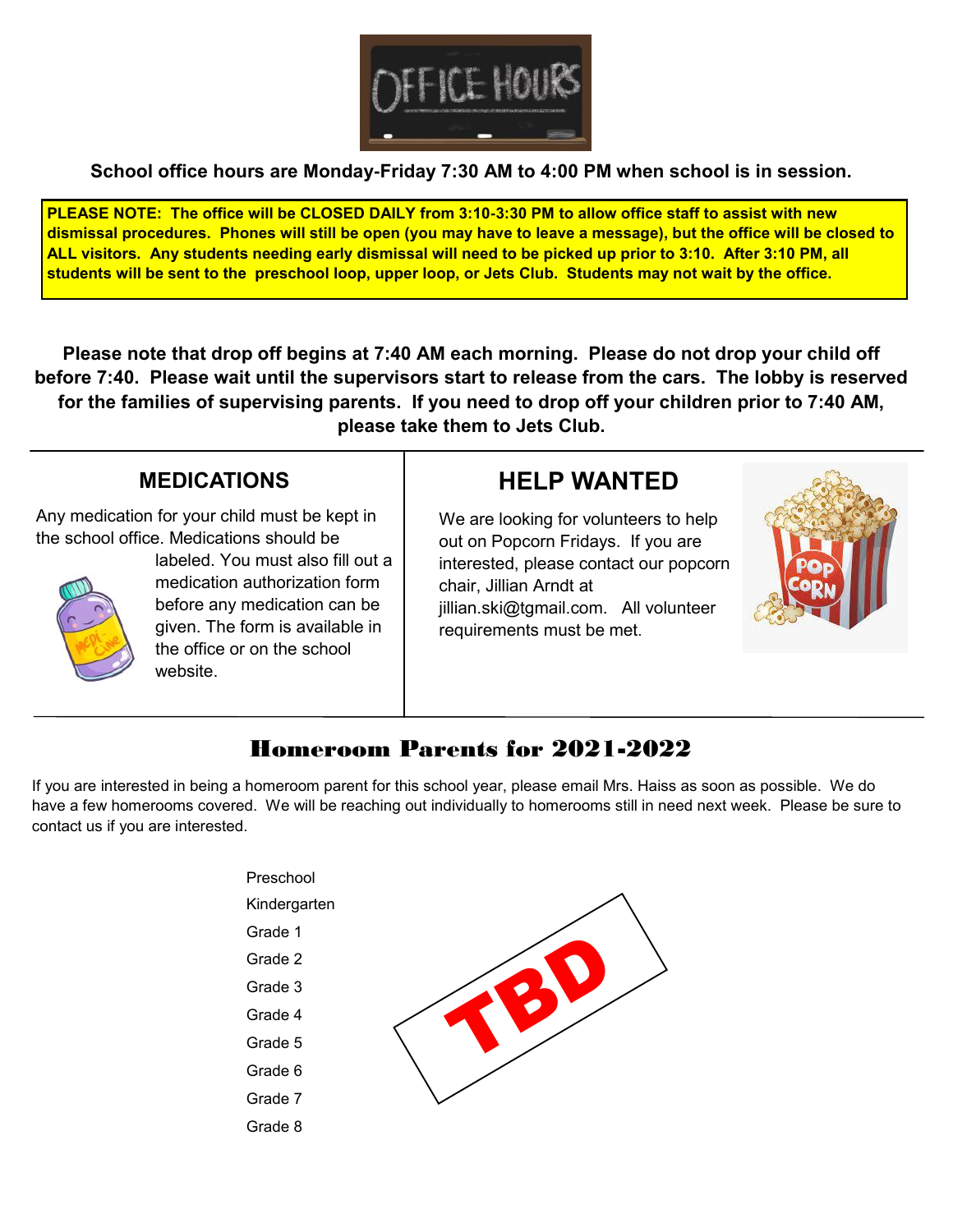

**School office hours are Monday-Friday 7:30 AM to 4:00 PM when school is in session.**

**PLEASE NOTE: The office will be CLOSED DAILY from 3:10-3:30 PM to allow office staff to assist with new dismissal procedures. Phones will still be open (you may have to leave a message), but the office will be closed to ALL visitors. Any students needing early dismissal will need to be picked up prior to 3:10. After 3:10 PM, all students will be sent to the preschool loop, upper loop, or Jets Club. Students may not wait by the office.** 

**Please note that drop off begins at 7:40 AM each morning. Please do not drop your child off before 7:40. Please wait until the supervisors start to release from the cars. The lobby is reserved for the families of supervising parents. If you need to drop off your children prior to 7:40 AM, please take them to Jets Club.** 

#### **MEDICATIONS**

Any medication for your child must be kept in the school office. Medications should be



labeled. You must also fill out a medication authorization form before any medication can be given. The form is available in the office or on the school website.

#### **HELP WANTED**

We are looking for volunteers to help out on Popcorn Fridays. If you are interested, please contact our popcorn chair, Jillian Arndt at jillian.ski@tgmail.com. All volunteer requirements must be met.



#### Homeroom Parents for 2021-2022

If you are interested in being a homeroom parent for this school year, please email Mrs. Haiss as soon as possible. We do have a few homerooms covered. We will be reaching out individually to homerooms still in need next week. Please be sure to contact us if you are interested.

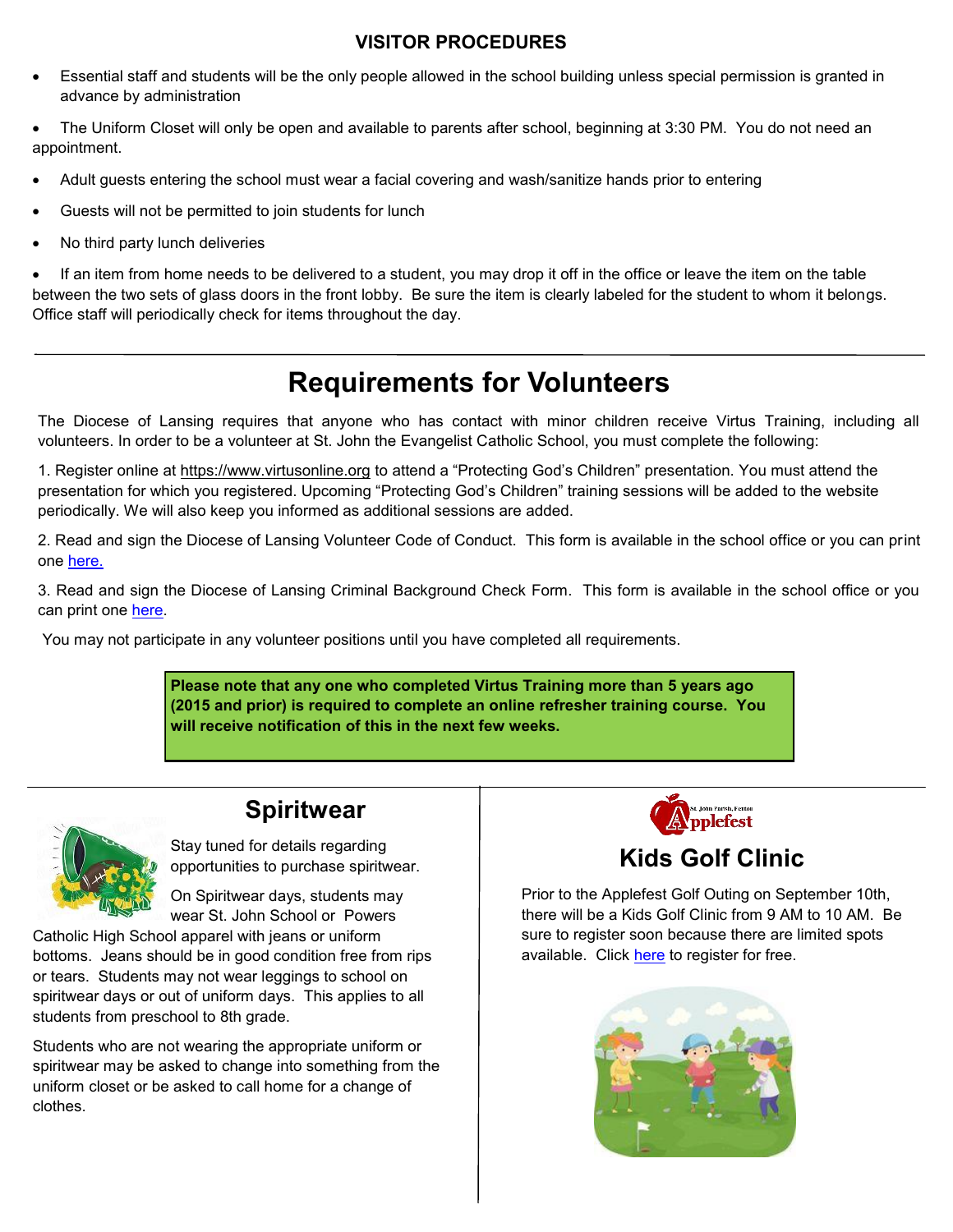#### **VISITOR PROCEDURES**

- Essential staff and students will be the only people allowed in the school building unless special permission is granted in advance by administration
- The Uniform Closet will only be open and available to parents after school, beginning at 3:30 PM. You do not need an appointment.
- Adult guests entering the school must wear a facial covering and wash/sanitize hands prior to entering
- Guests will not be permitted to join students for lunch
- No third party lunch deliveries

 If an item from home needs to be delivered to a student, you may drop it off in the office or leave the item on the table between the two sets of glass doors in the front lobby. Be sure the item is clearly labeled for the student to whom it belongs. Office staff will periodically check for items throughout the day.

## **Requirements for Volunteers**

The Diocese of Lansing requires that anyone who has contact with minor children receive Virtus Training, including all volunteers. In order to be a volunteer at St. John the Evangelist Catholic School, you must complete the following:

1. Register online at https://www.virtusonline.org to attend a "Protecting God's Children" presentation. You must attend the presentation for which you registered. Upcoming "Protecting God's Children" training sessions will be added to the website periodically. We will also keep you informed as additional sessions are added.

2. Read and sign the Diocese of Lansing Volunteer Code of Conduct. This form is available in the school office or you can print one [here.](https://www.dioceseoflansing.org/sites/default/files/2020-03/CodeofConduct_03_2020-r1.pdf) 

3. Read and sign the Diocese of Lansing Criminal Background Check Form. This form is available in the school office or you can print one [here.](https://www.dioceseoflansing.org/sites/default/files/2017-03/DOLBackgroundCheckReleaseNOV2014_0.pdf) 

You may not participate in any volunteer positions until you have completed all requirements.

**Please note that any one who completed Virtus Training more than 5 years ago (2015 and prior) is required to complete an online refresher training course. You will receive notification of this in the next few weeks.** 

#### **Spiritwear**

Stay tuned for details regarding opportunities to purchase spiritwear.

On Spiritwear days, students may wear St. John School or Powers

Catholic High School apparel with jeans or uniform bottoms. Jeans should be in good condition free from rips or tears. Students may not wear leggings to school on spiritwear days or out of uniform days. This applies to all students from preschool to 8th grade.

Students who are not wearing the appropriate uniform or spiritwear may be asked to change into something from the uniform closet or be asked to call home for a change of clothes.



#### **Kids Golf Clinic**

Prior to the Applefest Golf Outing on September 10th, there will be a Kids Golf Clinic from 9 AM to 10 AM. Be sure to register soon because there are limited spots available. Click [here](https://www.stjohnfenton.org/applefest-golf-registration.html) to register for free.